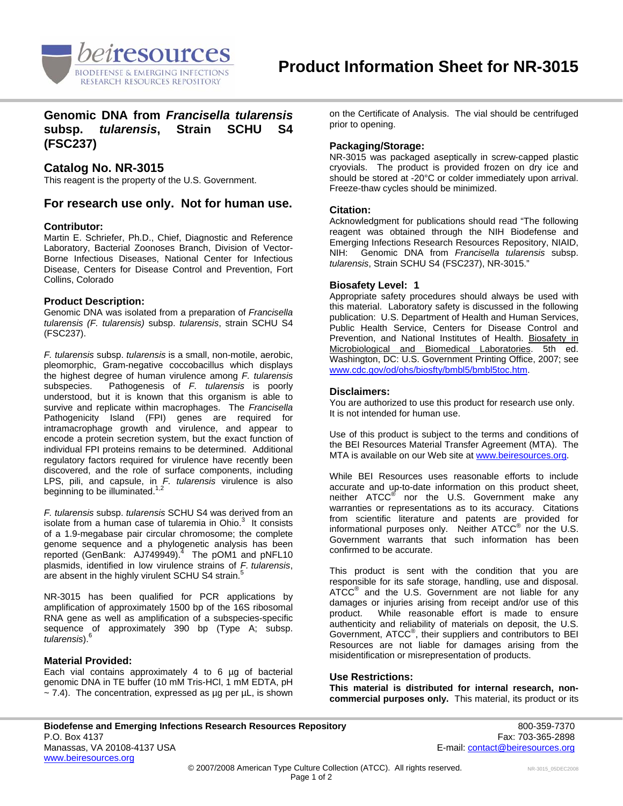

# **Genomic DNA from** *Francisella tularensis*  **subsp.** *tularensis***, Strain SCHU S4 (FSC237)**

## **Catalog No. NR-3015**

This reagent is the property of the U.S. Government.

## **For research use only. Not for human use.**

## **Contributor:**

Martin E. Schriefer, Ph.D., Chief, Diagnostic and Reference Laboratory, Bacterial Zoonoses Branch, Division of Vector-Borne Infectious Diseases, National Center for Infectious Disease, Centers for Disease Control and Prevention, Fort Collins, Colorado

#### **Product Description:**

Genomic DNA was isolated from a preparation of *Francisella tularensis (F. tularensis)* subsp. *tularensis*, strain SCHU S4 (FSC237).

*F. tularensis* subsp. *tularensis* is a small, non-motile, aerobic, pleomorphic, Gram-negative coccobacillus which displays the highest degree of human virulence among *F. tularensis*  subspecies. Pathogenesis of *F. tularensis* is poorly understood, but it is known that this organism is able to survive and replicate within macrophages. The *Francisella* Pathogenicity Island (FPI) genes are required for intramacrophage growth and virulence, and appear to encode a protein secretion system, but the exact function of individual FPI proteins remains to be determined. Additional regulatory factors required for virulence have recently been discovered, and the role of surface components, including LPS, pili, and capsule, in *F. tularensis* virulence is also beginning to be illuminated.<sup>1</sup>

*F. tularensis* subsp. *tularensis* SCHU S4 was derived from an isolate from a human case of tularemia in Ohio. $3$  It consists of a 1.9-megabase pair circular chromosome; the complete genome sequence and a phylogenetic analysis has been reported (GenBank: AJ749949). $4$  The pOM1 and pNFL10 plasmids, identified in low virulence strains of *F. tularensis*, are absent in the highly virulent SCHU S4 strain.

NR-3015 has been qualified for PCR applications by amplification of approximately 1500 bp of the 16S ribosomal RNA gene as well as amplification of a subspecies-specific sequence of approximately 390 bp (Type A; subsp. *tularensis*).<sup>6</sup>

#### **Material Provided:**

Each vial contains approximately 4 to 6 µg of bacterial genomic DNA in TE buffer (10 mM Tris-HCl, 1 mM EDTA, pH  $\sim$  7.4). The concentration, expressed as  $\mu$ g per  $\mu$ L, is shown on the Certificate of Analysis. The vial should be centrifuged prior to opening.

## **Packaging/Storage:**

NR-3015 was packaged aseptically in screw-capped plastic cryovials. The product is provided frozen on dry ice and should be stored at -20°C or colder immediately upon arrival. Freeze-thaw cycles should be minimized.

## **Citation:**

Acknowledgment for publications should read "The following reagent was obtained through the NIH Biodefense and Emerging Infections Research Resources Repository, NIAID, NIH: Genomic DNA from *Francisella tularensis* subsp. *tularensis*, Strain SCHU S4 (FSC237), NR-3015."

#### **Biosafety Level: 1**

Appropriate safety procedures should always be used with this material. Laboratory safety is discussed in the following publication: U.S. Department of Health and Human Services, Public Health Service, Centers for Disease Control and Prevention, and National Institutes of Health. Biosafety in Microbiological and Biomedical Laboratories. 5th ed. Washington, DC: U.S. Government Printing Office, 2007; see [www.cdc.gov/od/ohs/biosfty/bmbl5/bmbl5toc.htm.](http://www.cdc.gov/od/ohs/biosfty/bmbl5/bmbl5toc.htm)

## **Disclaimers:**

You are authorized to use this product for research use only. It is not intended for human use.

Use of this product is subject to the terms and conditions of the BEI Resources Material Transfer Agreement (MTA). The MTA is available on our Web site at [www.beiresources.org](http://www.beiresources.org/).

While BEI Resources uses reasonable efforts to include accurate and up-to-date information on this product sheet, neither ATCC<sup>®</sup> nor the U.S. Government make any warranties or representations as to its accuracy. Citations from scientific literature and patents are provided for informational purposes only. Neither  $\tt ATCC^@$  nor the U.S. Government warrants that such information has been confirmed to be accurate.

This product is sent with the condition that you are responsible for its safe storage, handling, use and disposal. ATCC<sup>®</sup> and the U.S. Government are not liable for any damages or injuries arising from receipt and/or use of this<br>product. While reasonable effort is made to ensure While reasonable effort is made to ensure authenticity and reliability of materials on deposit, the U.S. Government, ATCC® , their suppliers and contributors to BEI Resources are not liable for damages arising from the misidentification or misrepresentation of products.

#### **Use Restrictions:**

**This material is distributed for internal research, noncommercial purposes only.** This material, its product or its